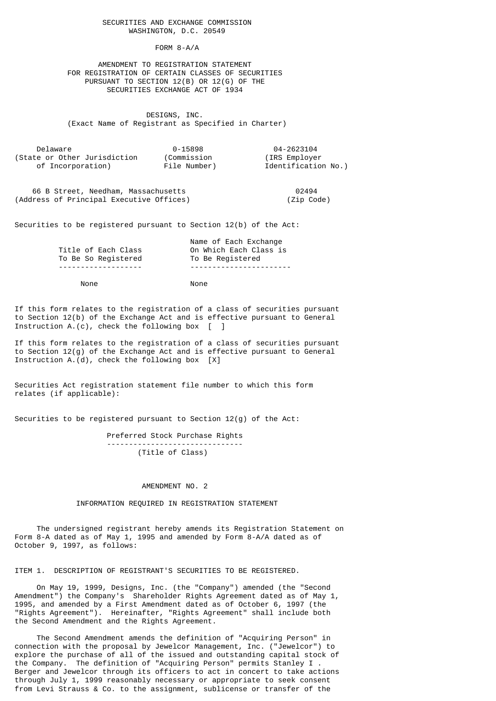## SECURITIES AND EXCHANGE COMMISSION WASHINGTON, D.C. 20549

FORM 8-A/A

 AMENDMENT TO REGISTRATION STATEMENT FOR REGISTRATION OF CERTAIN CLASSES OF SECURITIES PURSUANT TO SECTION 12(B) OR 12(G) OF THE SECURITIES EXCHANGE ACT OF 1934

 DESIGNS, INC. (Exact Name of Registrant as Specified in Charter)

| Delaware                     | 0-15898      | 04-2623104          |
|------------------------------|--------------|---------------------|
| (State or Other Jurisdiction | (Commission  | (IRS Employer)      |
| of Incorporation)            | File Number) | Identification No.) |

 66 B Street, Needham, Massachusetts 02494 (Address of Principal Executive Offices) (Zip Code)

Securities to be registered pursuant to Section 12(b) of the Act:

|                     | Name of Each Exchange  |
|---------------------|------------------------|
| Title of Each Class | On Which Each Class is |
| To Be So Registered | To Be Registered       |
|                     |                        |

None None

 If this form relates to the registration of a class of securities pursuant to Section 12(b) of the Exchange Act and is effective pursuant to General Instruction A.(c), check the following box  $\begin{bmatrix} 1 \end{bmatrix}$ 

 If this form relates to the registration of a class of securities pursuant to Section  $12(g)$  of the Exchange Act and is effective pursuant to General Instruction  $A.(d)$ , check the following box  $[X]$ 

 Securities Act registration statement file number to which this form relates (if applicable):

Securities to be registered pursuant to Section 12(g) of the Act:

 Preferred Stock Purchase Rights ------------------------------- (Title of Class)

## AMENDMENT NO. 2

INFORMATION REQUIRED IN REGISTRATION STATEMENT

 The undersigned registrant hereby amends its Registration Statement on Form 8-A dated as of May 1, 1995 and amended by Form 8-A/A dated as of October 9, 1997, as follows:

ITEM 1. DESCRIPTION OF REGISTRANT'S SECURITIES TO BE REGISTERED.

 On May 19, 1999, Designs, Inc. (the "Company") amended (the "Second Amendment") the Company's Shareholder Rights Agreement dated as of May 1, 1995, and amended by a First Amendment dated as of October 6, 1997 (the "Rights Agreement"). Hereinafter, "Rights Agreement" shall include both the Second Amendment and the Rights Agreement.

 The Second Amendment amends the definition of "Acquiring Person" in connection with the proposal by Jewelcor Management, Inc. ("Jewelcor") to explore the purchase of all of the issued and outstanding capital stock of the Company. The definition of "Acquiring Person" permits Stanley I . Berger and Jewelcor through its officers to act in concert to take actions through July 1, 1999 reasonably necessary or appropriate to seek consent from Levi Strauss & Co. to the assignment, sublicense or transfer of the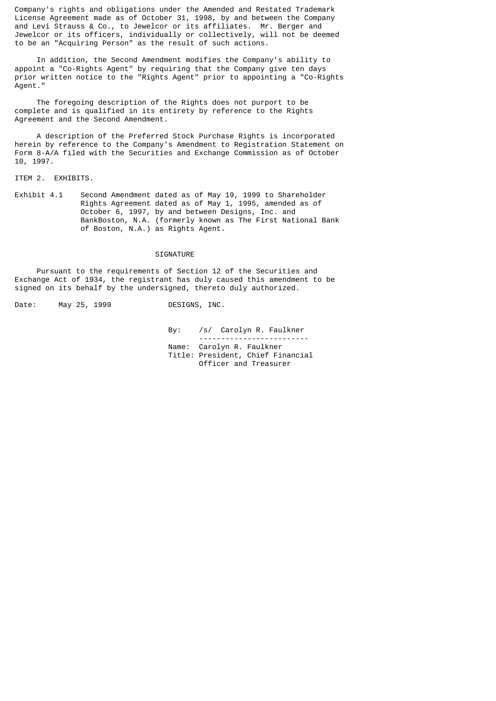Company's rights and obligations under the Amended and Restated Trademark License Agreement made as of October 31, 1998, by and between the Company and Levi Strauss & Co., to Jewelcor or its affiliates. Mr. Berger and Jewelcor or its officers, individually or collectively, will not be deemed to be an "Acquiring Person" as the result of such actions.

 In addition, the Second Amendment modifies the Company's ability to appoint a "Co-Rights Agent" by requiring that the Company give ten days prior written notice to the "Rights Agent" prior to appointing a "Co-Rights Agent."

 The foregoing description of the Rights does not purport to be complete and is qualified in its entirety by reference to the Rights Agreement and the Second Amendment.

 A description of the Preferred Stock Purchase Rights is incorporated herein by reference to the Company's Amendment to Registration Statement on Form 8-A/A filed with the Securities and Exchange Commission as of October 10, 1997.

ITEM 2. EXHIBITS.

 Exhibit 4.1 Second Amendment dated as of May 19, 1999 to Shareholder Rights Agreement dated as of May 1, 1995, amended as of October 6, 1997, by and between Designs, Inc. and BankBoston, N.A. (formerly known as The First National Bank of Boston, N.A.) as Rights Agent.

## SIGNATURE

 Pursuant to the requirements of Section 12 of the Securities and Exchange Act of 1934, the registrant has duly caused this amendment to be signed on its behalf by the undersigned, thereto duly authorized.

Date: May 25, 1999 DESIGNS, INC.

By: /s/ Carolyn R. Faulkner

 ------------------------- Name: Carolyn R. Faulkner

 Title: President, Chief Financial Officer and Treasurer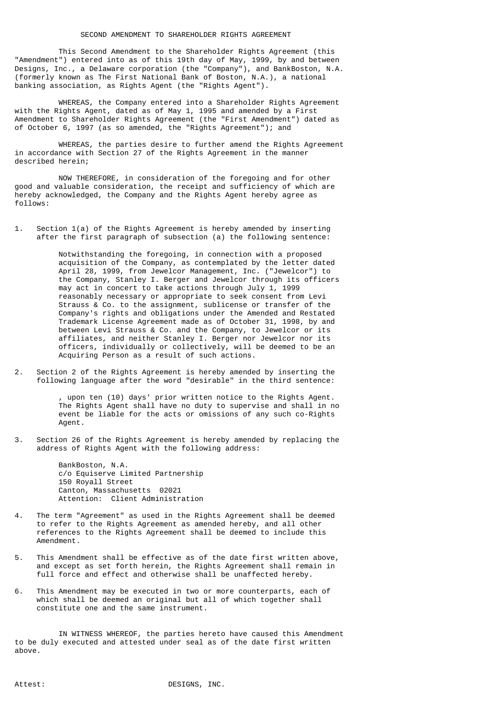This Second Amendment to the Shareholder Rights Agreement (this "Amendment") entered into as of this 19th day of May, 1999, by and between Designs, Inc., a Delaware corporation (the "Company"), and BankBoston, N.A. (formerly known as The First National Bank of Boston, N.A.), a national banking association, as Rights Agent (the "Rights Agent").

 WHEREAS, the Company entered into a Shareholder Rights Agreement with the Rights Agent, dated as of May 1, 1995 and amended by a First Amendment to Shareholder Rights Agreement (the "First Amendment") dated as of October 6, 1997 (as so amended, the "Rights Agreement"); and

WHEREAS, the parties desire to further amend the Rights Agreement in accordance with Section 27 of the Rights Agreement in the manner described herein;

 NOW THEREFORE, in consideration of the foregoing and for other good and valuable consideration, the receipt and sufficiency of which are hereby acknowledged, the Company and the Rights Agent hereby agree as follows:

 1. Section 1(a) of the Rights Agreement is hereby amended by inserting after the first paragraph of subsection (a) the following sentence:

 Notwithstanding the foregoing, in connection with a proposed acquisition of the Company, as contemplated by the letter dated April 28, 1999, from Jewelcor Management, Inc. ("Jewelcor") to the Company, Stanley I. Berger and Jewelcor through its officers may act in concert to take actions through July 1, 1999 reasonably necessary or appropriate to seek consent from Levi Strauss & Co. to the assignment, sublicense or transfer of the Company's rights and obligations under the Amended and Restated Trademark License Agreement made as of October 31, 1998, by and between Levi Strauss & Co. and the Company, to Jewelcor or its affiliates, and neither Stanley I. Berger nor Jewelcor nor its officers, individually or collectively, will be deemed to be an Acquiring Person as a result of such actions.

 2. Section 2 of the Rights Agreement is hereby amended by inserting the following language after the word "desirable" in the third sentence:

> upon ten (10) days' prior written notice to the Rights Agent. The Rights Agent shall have no duty to supervise and shall in no event be liable for the acts or omissions of any such co-Rights Agent.

 3. Section 26 of the Rights Agreement is hereby amended by replacing the address of Rights Agent with the following address:

> BankBoston, N.A. c/o Equiserve Limited Partnership 150 Royall Street Canton, Massachusetts 02021 Attention: Client Administration

- 4. The term "Agreement" as used in the Rights Agreement shall be deemed to refer to the Rights Agreement as amended hereby, and all other references to the Rights Agreement shall be deemed to include this Amendment.
- 5. This Amendment shall be effective as of the date first written above, and except as set forth herein, the Rights Agreement shall remain in full force and effect and otherwise shall be unaffected hereby.
- 6. This Amendment may be executed in two or more counterparts, each of which shall be deemed an original but all of which together shall constitute one and the same instrument.

 IN WITNESS WHEREOF, the parties hereto have caused this Amendment to be duly executed and attested under seal as of the date first written above.